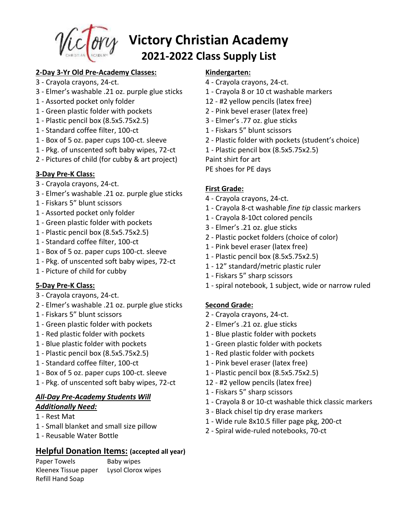

# **Victory Christian Academy 2021-2022 Class Supply List**

### **2-Day 3-Yr Old Pre-Academy Classes:**

- 3 Crayola crayons, 24-ct.
- 3 Elmer's washable .21 oz. purple glue sticks
- 1 Assorted pocket only folder
- 1 Green plastic folder with pockets
- 1 Plastic pencil box (8.5x5.75x2.5)
- 1 Standard coffee filter, 100-ct
- 1 Box of 5 oz. paper cups 100-ct. sleeve
- 1 Pkg. of unscented soft baby wipes, 72-ct
- 2 Pictures of child (for cubby & art project)

# **3-Day Pre-K Class:**

- 3 Crayola crayons, 24-ct.
- 3 Elmer's washable .21 oz. purple glue sticks
- 1 Fiskars 5" blunt scissors
- 1 Assorted pocket only folder
- 1 Green plastic folder with pockets
- 1 Plastic pencil box (8.5x5.75x2.5)
- 1 Standard coffee filter, 100-ct
- 1 Box of 5 oz. paper cups 100-ct. sleeve
- 1 Pkg. of unscented soft baby wipes, 72-ct
- 1 Picture of child for cubby

#### **5-Day Pre-K Class:**

- 3 Crayola crayons, 24-ct.
- 2 Elmer's washable .21 oz. purple glue sticks
- 1 Fiskars 5" blunt scissors
- 1 Green plastic folder with pockets
- 1 Red plastic folder with pockets
- 1 Blue plastic folder with pockets
- 1 Plastic pencil box (8.5x5.75x2.5)
- 1 Standard coffee filter, 100-ct
- 1 Box of 5 oz. paper cups 100-ct. sleeve
- 1 Pkg. of unscented soft baby wipes, 72-ct

# *All-Day Pre-Academy Students Will Additionally Need:*

- 1 Rest Mat
- 1 Small blanket and small size pillow
- 1 Reusable Water Bottle

# **Helpful Donation Items: (accepted all year)**

Paper Towels Baby wipes Kleenex Tissue paper Lysol Clorox wipes Refill Hand Soap

#### **Kindergarten:**

- 4 Crayola crayons, 24-ct.
- 1 Crayola 8 or 10 ct washable markers
- 12 #2 yellow pencils (latex free)
- 2 Pink bevel eraser (latex free)
- 3 Elmer's .77 oz. glue sticks
- 1 Fiskars 5" blunt scissors
- 2 Plastic folder with pockets (student's choice)
- 1 Plastic pencil box (8.5x5.75x2.5)
- Paint shirt for art
- PE shoes for PE days

# **First Grade:**

- 4 Crayola crayons, 24-ct.
- 1 Crayola 8-ct washable *fine tip* classic markers
- 1 Crayola 8-10ct colored pencils
- 3 Elmer's .21 oz. glue sticks
- 2 Plastic pocket folders (choice of color)
- 1 Pink bevel eraser (latex free)
- 1 Plastic pencil box (8.5x5.75x2.5)
- 1 12" standard/metric plastic ruler
- 1 Fiskars 5" sharp scissors
- 1 spiral notebook, 1 subject, wide or narrow ruled

#### **Second Grade:**

- 2 Crayola crayons, 24-ct.
- 2 Elmer's .21 oz. glue sticks
- 1 Blue plastic folder with pockets
- 1 Green plastic folder with pockets
- 1 Red plastic folder with pockets
- 1 Pink bevel eraser (latex free)
- 1 Plastic pencil box (8.5x5.75x2.5)
- 12 #2 yellow pencils (latex free)
- 1 Fiskars 5" sharp scissors
- 1 Crayola 8 or 10-ct washable thick classic markers
- 3 Black chisel tip dry erase markers
- 1 Wide rule 8x10.5 filler page pkg, 200-ct
- 2 Spiral wide-ruled notebooks, 70-ct